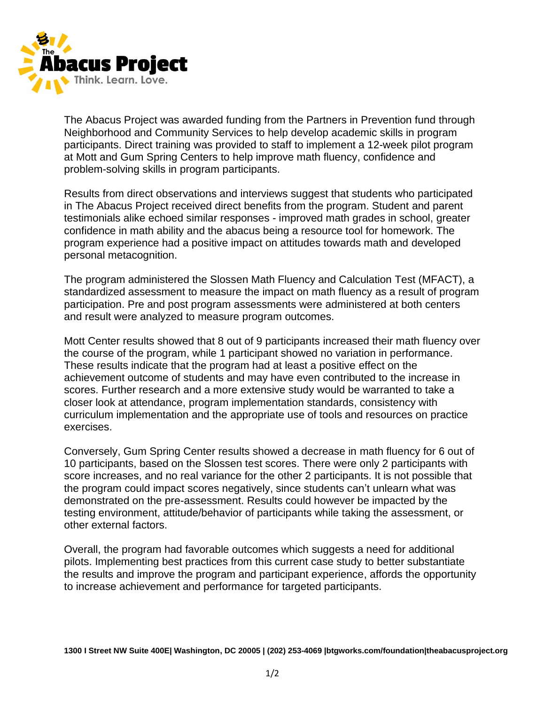

The Abacus Project was awarded funding from the Partners in Prevention fund through Neighborhood and Community Services to help develop academic skills in program participants. Direct training was provided to staff to implement a 12-week pilot program at Mott and Gum Spring Centers to help improve math fluency, confidence and problem-solving skills in program participants.

Results from direct observations and interviews suggest that students who participated in The Abacus Project received direct benefits from the program. Student and parent testimonials alike echoed similar responses - improved math grades in school, greater confidence in math ability and the abacus being a resource tool for homework. The program experience had a positive impact on attitudes towards math and developed personal metacognition.

The program administered the Slossen Math Fluency and Calculation Test (MFACT), a standardized assessment to measure the impact on math fluency as a result of program participation. Pre and post program assessments were administered at both centers and result were analyzed to measure program outcomes.

Mott Center results showed that 8 out of 9 participants increased their math fluency over the course of the program, while 1 participant showed no variation in performance. These results indicate that the program had at least a positive effect on the achievement outcome of students and may have even contributed to the increase in scores. Further research and a more extensive study would be warranted to take a closer look at attendance, program implementation standards, consistency with curriculum implementation and the appropriate use of tools and resources on practice exercises.

Conversely, Gum Spring Center results showed a decrease in math fluency for 6 out of 10 participants, based on the Slossen test scores. There were only 2 participants with score increases, and no real variance for the other 2 participants. It is not possible that the program could impact scores negatively, since students can't unlearn what was demonstrated on the pre-assessment. Results could however be impacted by the testing environment, attitude/behavior of participants while taking the assessment, or other external factors.

Overall, the program had favorable outcomes which suggests a need for additional pilots. Implementing best practices from this current case study to better substantiate the results and improve the program and participant experience, affords the opportunity to increase achievement and performance for targeted participants.